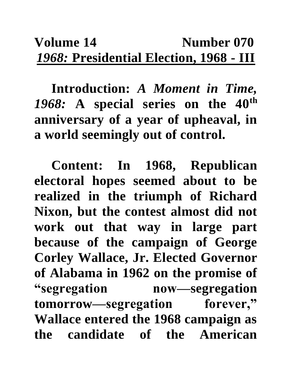## **Volume 14** Number 070 *1968:* **Presidential Election, 1968 - III**

**Introduction:** *A Moment in Time, 1968:* **A special series on the 40th anniversary of a year of upheaval, in a world seemingly out of control.**

**Content: In 1968, Republican electoral hopes seemed about to be realized in the triumph of Richard Nixon, but the contest almost did not work out that way in large part because of the campaign of George Corley Wallace, Jr. Elected Governor of Alabama in 1962 on the promise of "segregation now—segregation tomorrow—segregation forever," Wallace entered the 1968 campaign as the candidate of the American**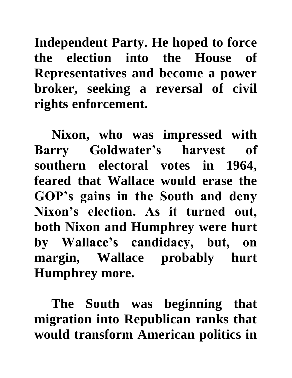**Independent Party. He hoped to force the election into the House of Representatives and become a power broker, seeking a reversal of civil rights enforcement.** 

**Nixon, who was impressed with Barry Goldwater's harvest of southern electoral votes in 1964, feared that Wallace would erase the GOP's gains in the South and deny Nixon's election. As it turned out, both Nixon and Humphrey were hurt by Wallace's candidacy, but, on margin, Wallace probably hurt Humphrey more.** 

**The South was beginning that migration into Republican ranks that would transform American politics in**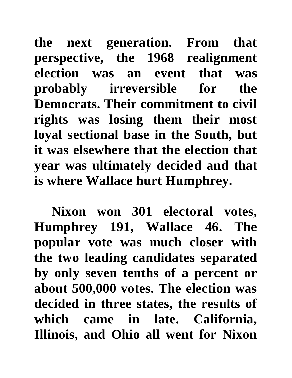**the next generation. From that perspective, the 1968 realignment election was an event that was probably irreversible for the Democrats. Their commitment to civil rights was losing them their most loyal sectional base in the South, but it was elsewhere that the election that year was ultimately decided and that is where Wallace hurt Humphrey.** 

**Nixon won 301 electoral votes, Humphrey 191, Wallace 46. The popular vote was much closer with the two leading candidates separated by only seven tenths of a percent or about 500,000 votes. The election was decided in three states, the results of which came in late. California, Illinois, and Ohio all went for Nixon**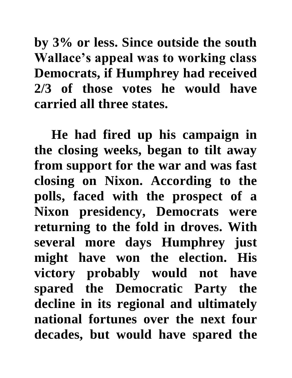**by 3% or less. Since outside the south Wallace's appeal was to working class Democrats, if Humphrey had received 2/3 of those votes he would have carried all three states.** 

**He had fired up his campaign in the closing weeks, began to tilt away from support for the war and was fast closing on Nixon. According to the polls, faced with the prospect of a Nixon presidency, Democrats were returning to the fold in droves. With several more days Humphrey just might have won the election. His victory probably would not have spared the Democratic Party the decline in its regional and ultimately national fortunes over the next four decades, but would have spared the**